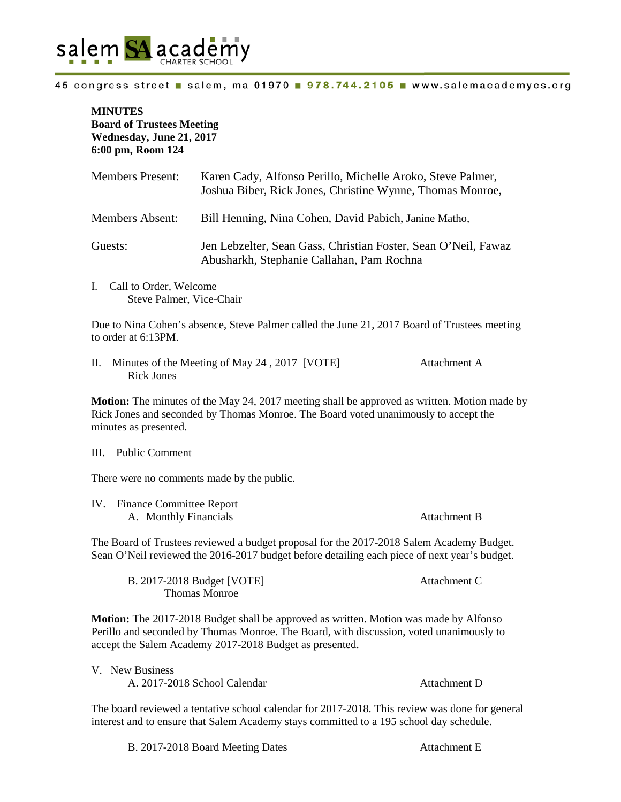

## 45 congress street salem, ma 01970 978.744.2105 www.salemacademycs.org

**MINUTES Board of Trustees Meeting Wednesday, June 21, 2017 6:00 pm, Room 124**

| <b>Members Present:</b> | Karen Cady, Alfonso Perillo, Michelle Aroko, Steve Palmer,<br>Joshua Biber, Rick Jones, Christine Wynne, Thomas Monroe, |
|-------------------------|-------------------------------------------------------------------------------------------------------------------------|
| <b>Members Absent:</b>  | Bill Henning, Nina Cohen, David Pabich, Janine Matho,                                                                   |
| Guests:                 | Jen Lebzelter, Sean Gass, Christian Foster, Sean O'Neil, Fawaz<br>Abusharkh, Stephanie Callahan, Pam Rochna             |

I. Call to Order, Welcome Steve Palmer, Vice-Chair

Due to Nina Cohen's absence, Steve Palmer called the June 21, 2017 Board of Trustees meeting to order at 6:13PM.

II. Minutes of the Meeting of May 24 , 2017 [VOTE] Attachment A Rick Jones

**Motion:** The minutes of the May 24, 2017 meeting shall be approved as written. Motion made by Rick Jones and seconded by Thomas Monroe. The Board voted unanimously to accept the minutes as presented.

III. Public Comment

There were no comments made by the public.

IV. Finance Committee Report A. Monthly Financials **Attachment B** 

The Board of Trustees reviewed a budget proposal for the 2017-2018 Salem Academy Budget. Sean O'Neil reviewed the 2016-2017 budget before detailing each piece of next year's budget.

| B. 2017-2018 Budget [VOTE] | Attachment C |
|----------------------------|--------------|
| Thomas Monroe              |              |

**Motion:** The 2017-2018 Budget shall be approved as written. Motion was made by Alfonso Perillo and seconded by Thomas Monroe. The Board, with discussion, voted unanimously to accept the Salem Academy 2017-2018 Budget as presented.

| V. New Business              |              |
|------------------------------|--------------|
| A. 2017-2018 School Calendar | Attachment D |

The board reviewed a tentative school calendar for 2017-2018. This review was done for general interest and to ensure that Salem Academy stays committed to a 195 school day schedule.

B. 2017-2018 Board Meeting Dates Attachment E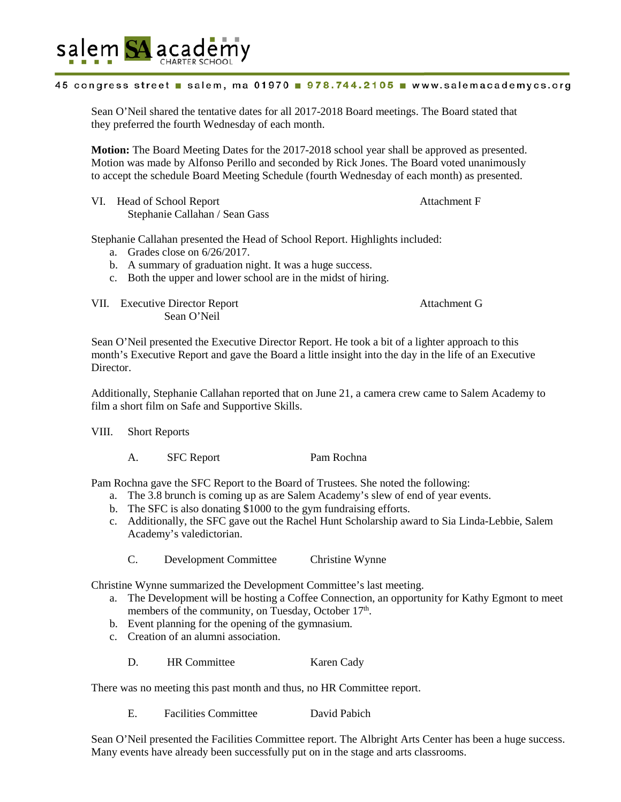

## 45 congress street salem, ma 01970 978.744.2105 www.salemacademycs.org

Sean O'Neil shared the tentative dates for all 2017-2018 Board meetings. The Board stated that they preferred the fourth Wednesday of each month.

**Motion:** The Board Meeting Dates for the 2017-2018 school year shall be approved as presented. Motion was made by Alfonso Perillo and seconded by Rick Jones. The Board voted unanimously to accept the schedule Board Meeting Schedule (fourth Wednesday of each month) as presented.

VI. Head of School Report **Attachment F** Stephanie Callahan / Sean Gass

Stephanie Callahan presented the Head of School Report. Highlights included:

- a. Grades close on 6/26/2017.
- b. A summary of graduation night. It was a huge success.
- c. Both the upper and lower school are in the midst of hiring.

VII. Executive Director Report Attachment G Sean O'Neil

Sean O'Neil presented the Executive Director Report. He took a bit of a lighter approach to this month's Executive Report and gave the Board a little insight into the day in the life of an Executive Director.

Additionally, Stephanie Callahan reported that on June 21, a camera crew came to Salem Academy to film a short film on Safe and Supportive Skills.

VIII. Short Reports

A. SFC Report Pam Rochna

Pam Rochna gave the SFC Report to the Board of Trustees. She noted the following:

- a. The 3.8 brunch is coming up as are Salem Academy's slew of end of year events.
- b. The SFC is also donating \$1000 to the gym fundraising efforts.
- c. Additionally, the SFC gave out the Rachel Hunt Scholarship award to Sia Linda-Lebbie, Salem Academy's valedictorian.
	- C. Development Committee Christine Wynne

Christine Wynne summarized the Development Committee's last meeting.

- a. The Development will be hosting a Coffee Connection, an opportunity for Kathy Egmont to meet members of the community, on Tuesday, October  $17<sup>th</sup>$ .
- b. Event planning for the opening of the gymnasium.
- c. Creation of an alumni association.
	- D. HR Committee Karen Cady

There was no meeting this past month and thus, no HR Committee report.

E. Facilities Committee David Pabich

Sean O'Neil presented the Facilities Committee report. The Albright Arts Center has been a huge success. Many events have already been successfully put on in the stage and arts classrooms.